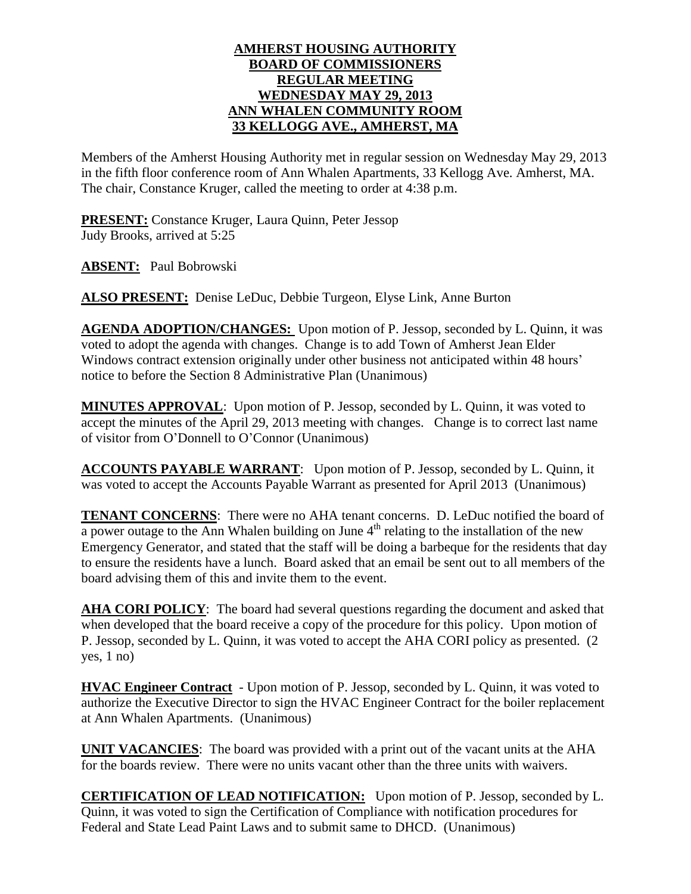## **AMHERST HOUSING AUTHORITY BOARD OF COMMISSIONERS REGULAR MEETING WEDNESDAY MAY 29, 2013 ANN WHALEN COMMUNITY ROOM 33 KELLOGG AVE., AMHERST, MA**

Members of the Amherst Housing Authority met in regular session on Wednesday May 29, 2013 in the fifth floor conference room of Ann Whalen Apartments, 33 Kellogg Ave. Amherst, MA. The chair, Constance Kruger, called the meeting to order at 4:38 p.m.

**PRESENT:** Constance Kruger, Laura Quinn, Peter Jessop Judy Brooks, arrived at 5:25

**ABSENT:** Paul Bobrowski

**ALSO PRESENT:** Denise LeDuc, Debbie Turgeon, Elyse Link, Anne Burton

**AGENDA ADOPTION/CHANGES:** Upon motion of P. Jessop, seconded by L. Quinn, it was voted to adopt the agenda with changes. Change is to add Town of Amherst Jean Elder Windows contract extension originally under other business not anticipated within 48 hours' notice to before the Section 8 Administrative Plan (Unanimous)

**MINUTES APPROVAL**: Upon motion of P. Jessop, seconded by L. Quinn, it was voted to accept the minutes of the April 29, 2013 meeting with changes. Change is to correct last name of visitor from O'Donnell to O'Connor (Unanimous)

**ACCOUNTS PAYABLE WARRANT**: Upon motion of P. Jessop, seconded by L. Quinn, it was voted to accept the Accounts Payable Warrant as presented for April 2013 (Unanimous)

**TENANT CONCERNS**: There were no AHA tenant concerns. D. LeDuc notified the board of a power outage to the Ann Whalen building on June  $4<sup>th</sup>$  relating to the installation of the new Emergency Generator, and stated that the staff will be doing a barbeque for the residents that day to ensure the residents have a lunch. Board asked that an email be sent out to all members of the board advising them of this and invite them to the event.

**AHA CORI POLICY**: The board had several questions regarding the document and asked that when developed that the board receive a copy of the procedure for this policy. Upon motion of P. Jessop, seconded by L. Quinn, it was voted to accept the AHA CORI policy as presented. (2  $yes, 1 no)$ 

**HVAC Engineer Contract** - Upon motion of P. Jessop, seconded by L. Quinn, it was voted to authorize the Executive Director to sign the HVAC Engineer Contract for the boiler replacement at Ann Whalen Apartments. (Unanimous)

**UNIT VACANCIES**: The board was provided with a print out of the vacant units at the AHA for the boards review. There were no units vacant other than the three units with waivers.

**CERTIFICATION OF LEAD NOTIFICATION:** Upon motion of P. Jessop, seconded by L. Quinn, it was voted to sign the Certification of Compliance with notification procedures for Federal and State Lead Paint Laws and to submit same to DHCD. (Unanimous)